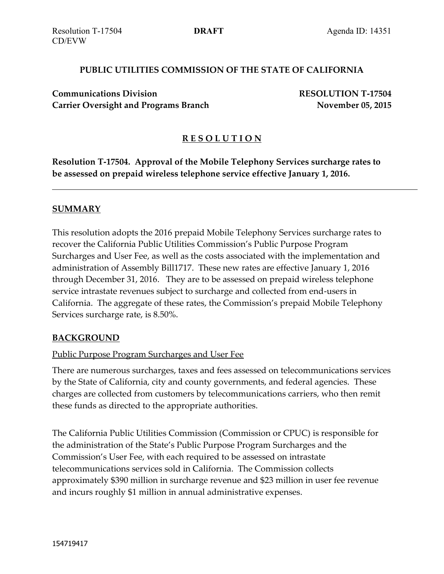#### **PUBLIC UTILITIES COMMISSION OF THE STATE OF CALIFORNIA**

**Communications Division RESOLUTION T-17504 RESOLUTION T-17292 Carrier Oversight and Programs Branch November 05, 2015**

### **R E S O L U T I O N**

**Resolution T-17504. Approval of the Mobile Telephony Services surcharge rates to be assessed on prepaid wireless telephone service effective January 1, 2016.**

#### **SUMMARY**

This resolution adopts the 2016 prepaid Mobile Telephony Services surcharge rates to recover the California Public Utilities Commission's Public Purpose Program Surcharges and User Fee, as well as the costs associated with the implementation and administration of Assembly Bill1717. These new rates are effective January 1, 2016 through December 31, 2016. They are to be assessed on prepaid wireless telephone service intrastate revenues subject to surcharge and collected from end-users in California. The aggregate of these rates, the Commission's prepaid Mobile Telephony Services surcharge rate, is 8.50%.

#### **BACKGROUND**

#### Public Purpose Program Surcharges and User Fee

There are numerous surcharges, taxes and fees assessed on telecommunications services by the State of California, city and county governments, and federal agencies. These charges are collected from customers by telecommunications carriers, who then remit these funds as directed to the appropriate authorities.

The California Public Utilities Commission (Commission or CPUC) is responsible for the administration of the State's Public Purpose Program Surcharges and the Commission's User Fee, with each required to be assessed on intrastate telecommunications services sold in California. The Commission collects approximately \$390 million in surcharge revenue and \$23 million in user fee revenue and incurs roughly \$1 million in annual administrative expenses.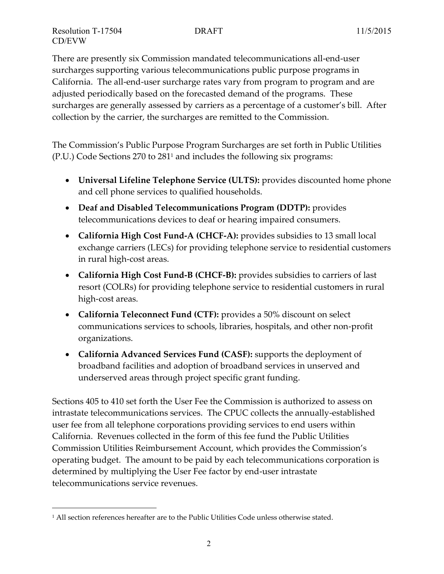$\overline{a}$ 

There are presently six Commission mandated telecommunications all-end-user surcharges supporting various telecommunications public purpose programs in California. The all-end-user surcharge rates vary from program to program and are adjusted periodically based on the forecasted demand of the programs. These surcharges are generally assessed by carriers as a percentage of a customer's bill. After collection by the carrier, the surcharges are remitted to the Commission.

The Commission's Public Purpose Program Surcharges are set forth in Public Utilities (P.U.) Code Sections 270 to 281<sup>1</sup> and includes the following six programs:

- **Universal Lifeline Telephone Service (ULTS):** provides discounted home phone and cell phone services to qualified households.
- **Deaf and Disabled Telecommunications Program (DDTP):** provides telecommunications devices to deaf or hearing impaired consumers.
- **California High Cost Fund-A (CHCF-A):** provides subsidies to 13 small local exchange carriers (LECs) for providing telephone service to residential customers in rural high-cost areas.
- **California High Cost Fund-B (CHCF-B):** provides subsidies to carriers of last resort (COLRs) for providing telephone service to residential customers in rural high-cost areas.
- **California Teleconnect Fund (CTF):** provides a 50% discount on select communications services to schools, libraries, hospitals, and other non-profit organizations.
- **California Advanced Services Fund (CASF):** supports the deployment of broadband facilities and adoption of broadband services in unserved and underserved areas through project specific grant funding.

Sections 405 to 410 set forth the User Fee the Commission is authorized to assess on intrastate telecommunications services. The CPUC collects the annually-established user fee from all telephone corporations providing services to end users within California. Revenues collected in the form of this fee fund the Public Utilities Commission Utilities Reimbursement Account, which provides the Commission's operating budget. The amount to be paid by each telecommunications corporation is determined by multiplying the User Fee factor by end-user intrastate telecommunications service revenues.

<sup>&</sup>lt;sup>1</sup> All section references hereafter are to the Public Utilities Code unless otherwise stated.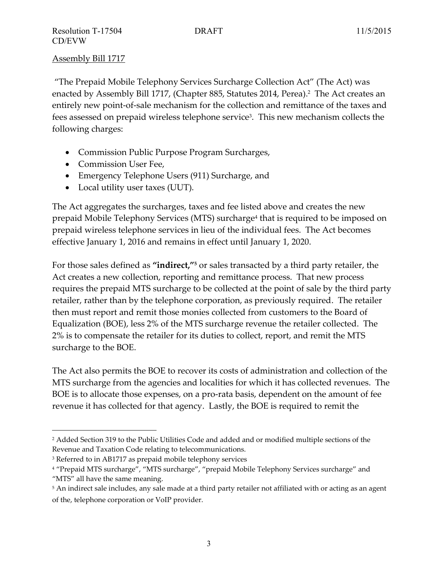Assembly Bill 1717

"The Prepaid Mobile Telephony Services Surcharge Collection Act" (The Act) was enacted by Assembly Bill 1717, (Chapter 885, Statutes 2014, Perea). <sup>2</sup> The Act creates an entirely new point-of-sale mechanism for the collection and remittance of the taxes and fees assessed on prepaid wireless telephone service $^3$ . This new mechanism collects the following charges:

- Commission Public Purpose Program Surcharges,
- Commission User Fee,
- Emergency Telephone Users (911) Surcharge, and
- Local utility user taxes (UUT).

The Act aggregates the surcharges, taxes and fee listed above and creates the new prepaid Mobile Telephony Services (MTS) surcharge<sup>4</sup> that is required to be imposed on prepaid wireless telephone services in lieu of the individual fees. The Act becomes effective January 1, 2016 and remains in effect until January 1, 2020.

For those sales defined as **"indirect," <sup>5</sup>** or sales transacted by a third party retailer, the Act creates a new collection, reporting and remittance process. That new process requires the prepaid MTS surcharge to be collected at the point of sale by the third party retailer, rather than by the telephone corporation, as previously required. The retailer then must report and remit those monies collected from customers to the Board of Equalization (BOE), less 2% of the MTS surcharge revenue the retailer collected. The 2% is to compensate the retailer for its duties to collect, report, and remit the MTS surcharge to the BOE.

The Act also permits the BOE to recover its costs of administration and collection of the MTS surcharge from the agencies and localities for which it has collected revenues. The BOE is to allocate those expenses, on a pro-rata basis, dependent on the amount of fee revenue it has collected for that agency. Lastly, the BOE is required to remit the

<sup>&</sup>lt;sup>2</sup> Added Section 319 to the Public Utilities Code and added and or modified multiple sections of the Revenue and Taxation Code relating to telecommunications.

<sup>&</sup>lt;sup>3</sup> Referred to in AB1717 as prepaid mobile telephony services

<sup>4</sup> "Prepaid MTS surcharge", "MTS surcharge", "prepaid Mobile Telephony Services surcharge" and "MTS" all have the same meaning.

<sup>5</sup> An indirect sale includes, any sale made at a third party retailer not affiliated with or acting as an agent of the, telephone corporation or VoIP provider.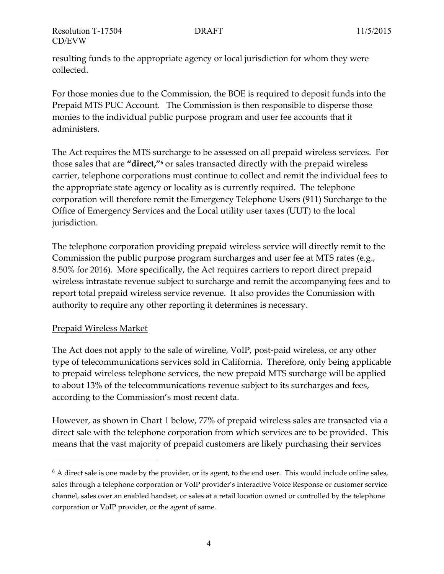resulting funds to the appropriate agency or local jurisdiction for whom they were collected.

For those monies due to the Commission, the BOE is required to deposit funds into the Prepaid MTS PUC Account. The Commission is then responsible to disperse those monies to the individual public purpose program and user fee accounts that it administers.

The Act requires the MTS surcharge to be assessed on all prepaid wireless services. For those sales that are **"direct,"<sup>6</sup>** or sales transacted directly with the prepaid wireless carrier, telephone corporations must continue to collect and remit the individual fees to the appropriate state agency or locality as is currently required. The telephone corporation will therefore remit the Emergency Telephone Users (911) Surcharge to the Office of Emergency Services and the Local utility user taxes (UUT) to the local jurisdiction.

The telephone corporation providing prepaid wireless service will directly remit to the Commission the public purpose program surcharges and user fee at MTS rates (e.g., 8.50% for 2016). More specifically, the Act requires carriers to report direct prepaid wireless intrastate revenue subject to surcharge and remit the accompanying fees and to report total prepaid wireless service revenue. It also provides the Commission with authority to require any other reporting it determines is necessary.

# Prepaid Wireless Market

 $\overline{a}$ 

The Act does not apply to the sale of wireline, VoIP, post-paid wireless, or any other type of telecommunications services sold in California. Therefore, only being applicable to prepaid wireless telephone services, the new prepaid MTS surcharge will be applied to about 13% of the telecommunications revenue subject to its surcharges and fees, according to the Commission's most recent data.

However, as shown in Chart 1 below, 77% of prepaid wireless sales are transacted via a direct sale with the telephone corporation from which services are to be provided. This means that the vast majority of prepaid customers are likely purchasing their services

 $6$  A direct sale is one made by the provider, or its agent, to the end user. This would include online sales, sales through a telephone corporation or VoIP provider's Interactive Voice Response or customer service channel, sales over an enabled handset, or sales at a retail location owned or controlled by the telephone corporation or VoIP provider, or the agent of same.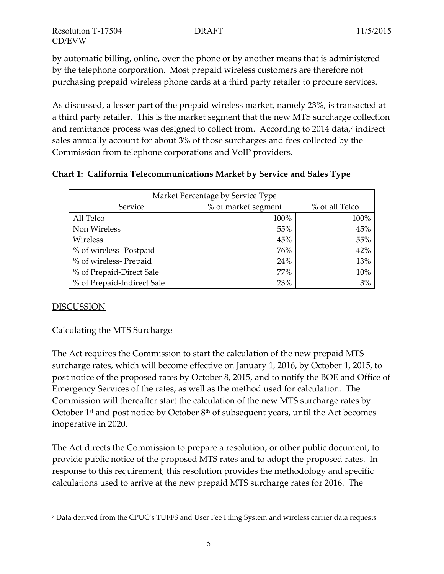by automatic billing, online, over the phone or by another means that is administered by the telephone corporation. Most prepaid wireless customers are therefore not purchasing prepaid wireless phone cards at a third party retailer to procure services.

As discussed, a lesser part of the prepaid wireless market, namely 23%, is transacted at a third party retailer. This is the market segment that the new MTS surcharge collection and remittance process was designed to collect from. According to 2014 data, 7 indirect sales annually account for about 3% of those surcharges and fees collected by the Commission from telephone corporations and VoIP providers.

# **Chart 1: California Telecommunications Market by Service and Sales Type**

| Market Percentage by Service Type |                     |                |  |  |  |
|-----------------------------------|---------------------|----------------|--|--|--|
| Service                           | % of market segment | % of all Telco |  |  |  |
| All Telco                         | 100%                | 100%           |  |  |  |
| Non Wireless                      | 55%                 | 45%            |  |  |  |
| Wireless                          | 45%                 | 55%            |  |  |  |
| % of wireless-Postpaid            | 76%                 | 42%            |  |  |  |
| % of wireless-Prepaid             | 24%                 | 13%            |  |  |  |
| % of Prepaid-Direct Sale          | 77%                 | 10%            |  |  |  |
| % of Prepaid-Indirect Sale        | 23%                 | 3%             |  |  |  |

# DISCUSSION

 $\overline{a}$ 

# Calculating the MTS Surcharge

The Act requires the Commission to start the calculation of the new prepaid MTS surcharge rates, which will become effective on January 1, 2016, by October 1, 2015, to post notice of the proposed rates by October 8, 2015, and to notify the BOE and Office of Emergency Services of the rates, as well as the method used for calculation. The Commission will thereafter start the calculation of the new MTS surcharge rates by October  $1<sup>st</sup>$  and post notice by October  $8<sup>th</sup>$  of subsequent years, until the Act becomes inoperative in 2020.

The Act directs the Commission to prepare a resolution, or other public document, to provide public notice of the proposed MTS rates and to adopt the proposed rates. In response to this requirement, this resolution provides the methodology and specific calculations used to arrive at the new prepaid MTS surcharge rates for 2016. The

<sup>7</sup> Data derived from the CPUC's TUFFS and User Fee Filing System and wireless carrier data requests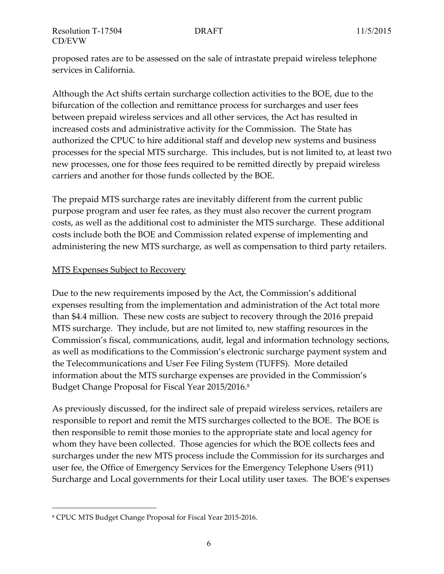proposed rates are to be assessed on the sale of intrastate prepaid wireless telephone services in California.

Although the Act shifts certain surcharge collection activities to the BOE, due to the bifurcation of the collection and remittance process for surcharges and user fees between prepaid wireless services and all other services, the Act has resulted in increased costs and administrative activity for the Commission. The State has authorized the CPUC to hire additional staff and develop new systems and business processes for the special MTS surcharge. This includes, but is not limited to, at least two new processes, one for those fees required to be remitted directly by prepaid wireless carriers and another for those funds collected by the BOE.

The prepaid MTS surcharge rates are inevitably different from the current public purpose program and user fee rates, as they must also recover the current program costs, as well as the additional cost to administer the MTS surcharge. These additional costs include both the BOE and Commission related expense of implementing and administering the new MTS surcharge, as well as compensation to third party retailers.

# **MTS Expenses Subject to Recovery**

Due to the new requirements imposed by the Act, the Commission's additional expenses resulting from the implementation and administration of the Act total more than \$4.4 million. These new costs are subject to recovery through the 2016 prepaid MTS surcharge. They include, but are not limited to, new staffing resources in the Commission's fiscal, communications, audit, legal and information technology sections, as well as modifications to the Commission's electronic surcharge payment system and the Telecommunications and User Fee Filing System (TUFFS). More detailed information about the MTS surcharge expenses are provided in the Commission's Budget Change Proposal for Fiscal Year 2015/2016. 8

As previously discussed, for the indirect sale of prepaid wireless services, retailers are responsible to report and remit the MTS surcharges collected to the BOE. The BOE is then responsible to remit those monies to the appropriate state and local agency for whom they have been collected. Those agencies for which the BOE collects fees and surcharges under the new MTS process include the Commission for its surcharges and user fee, the Office of Emergency Services for the Emergency Telephone Users (911) Surcharge and Local governments for their Local utility user taxes. The BOE's expenses

<sup>8</sup> CPUC MTS Budget Change Proposal for Fiscal Year 2015-2016.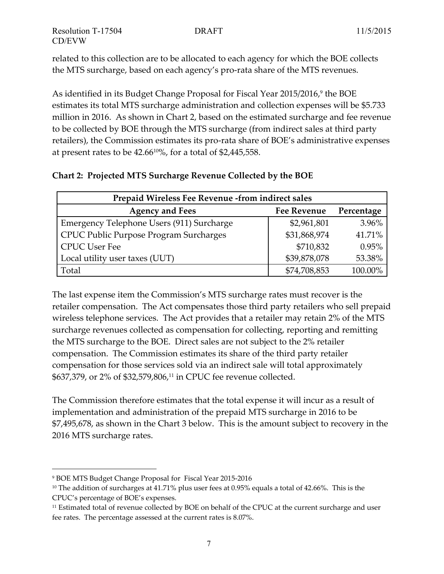related to this collection are to be allocated to each agency for which the BOE collects the MTS surcharge, based on each agency's pro-rata share of the MTS revenues.

As identified in its Budget Change Proposal for Fiscal Year 2015/2016, 9 the BOE estimates its total MTS surcharge administration and collection expenses will be \$5.733 million in 2016. As shown in Chart 2, based on the estimated surcharge and fee revenue to be collected by BOE through the MTS surcharge (from indirect sales at third party retailers), the Commission estimates its pro-rata share of BOE's administrative expenses at present rates to be 42.6610%, for a total of \$2,445,558.

|  | Chart 2: Projected MTS Surcharge Revenue Collected by the BOE |  |  |  |  |  |  |
|--|---------------------------------------------------------------|--|--|--|--|--|--|
|--|---------------------------------------------------------------|--|--|--|--|--|--|

| Prepaid Wireless Fee Revenue -from indirect sales          |              |         |  |  |  |  |
|------------------------------------------------------------|--------------|---------|--|--|--|--|
| <b>Agency and Fees</b><br><b>Fee Revenue</b><br>Percentage |              |         |  |  |  |  |
| Emergency Telephone Users (911) Surcharge                  | \$2,961,801  | 3.96%   |  |  |  |  |
| CPUC Public Purpose Program Surcharges                     | \$31,868,974 | 41.71%  |  |  |  |  |
| <b>CPUC User Fee</b>                                       | \$710,832    | 0.95%   |  |  |  |  |
| Local utility user taxes (UUT)                             | \$39,878,078 | 53.38%  |  |  |  |  |
| Total                                                      | \$74,708,853 | 100.00% |  |  |  |  |

The last expense item the Commission's MTS surcharge rates must recover is the retailer compensation. The Act compensates those third party retailers who sell prepaid wireless telephone services. The Act provides that a retailer may retain 2% of the MTS surcharge revenues collected as compensation for collecting, reporting and remitting the MTS surcharge to the BOE. Direct sales are not subject to the 2% retailer compensation. The Commission estimates its share of the third party retailer compensation for those services sold via an indirect sale will total approximately \$637,379, or 2% of \$32,579,806, <sup>11</sup> in CPUC fee revenue collected.

The Commission therefore estimates that the total expense it will incur as a result of implementation and administration of the prepaid MTS surcharge in 2016 to be \$7,495,678, as shown in the Chart 3 below. This is the amount subject to recovery in the 2016 MTS surcharge rates.

<sup>9</sup> BOE MTS Budget Change Proposal for Fiscal Year 2015-2016

<sup>&</sup>lt;sup>10</sup> The addition of surcharges at 41.71% plus user fees at 0.95% equals a total of 42.66%. This is the CPUC's percentage of BOE's expenses.

<sup>11</sup> Estimated total of revenue collected by BOE on behalf of the CPUC at the current surcharge and user fee rates. The percentage assessed at the current rates is 8.07%.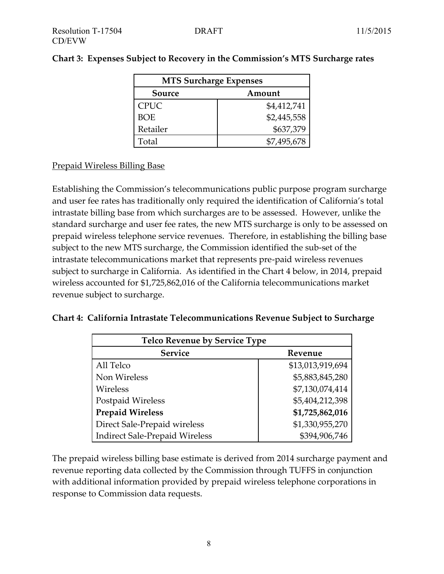| <b>MTS Surcharge Expenses</b> |             |  |  |  |
|-------------------------------|-------------|--|--|--|
| Source<br>Amount              |             |  |  |  |
| <b>CPUC</b>                   | \$4,412,741 |  |  |  |
| <b>BOE</b>                    | \$2,445,558 |  |  |  |
| Retailer                      | \$637,379   |  |  |  |
| Total                         | \$7,495,678 |  |  |  |

# **Chart 3: Expenses Subject to Recovery in the Commission's MTS Surcharge rates**

# Prepaid Wireless Billing Base

Establishing the Commission's telecommunications public purpose program surcharge and user fee rates has traditionally only required the identification of California's total intrastate billing base from which surcharges are to be assessed. However, unlike the standard surcharge and user fee rates, the new MTS surcharge is only to be assessed on prepaid wireless telephone service revenues. Therefore, in establishing the billing base subject to the new MTS surcharge, the Commission identified the sub-set of the intrastate telecommunications market that represents pre-paid wireless revenues subject to surcharge in California. As identified in the Chart 4 below, in 2014, prepaid wireless accounted for \$1,725,862,016 of the California telecommunications market revenue subject to surcharge.

|  | Chart 4:  California Intrastate Telecommunications Revenue Subject to Surcharge |  |  |
|--|---------------------------------------------------------------------------------|--|--|
|  |                                                                                 |  |  |

| <b>Telco Revenue by Service Type</b>  |                  |  |  |  |  |
|---------------------------------------|------------------|--|--|--|--|
| <b>Service</b>                        | Revenue          |  |  |  |  |
| All Telco                             | \$13,013,919,694 |  |  |  |  |
| Non Wireless                          | \$5,883,845,280  |  |  |  |  |
| Wireless                              | \$7,130,074,414  |  |  |  |  |
| Postpaid Wireless                     | \$5,404,212,398  |  |  |  |  |
| <b>Prepaid Wireless</b>               | \$1,725,862,016  |  |  |  |  |
| Direct Sale-Prepaid wireless          | \$1,330,955,270  |  |  |  |  |
| <b>Indirect Sale-Prepaid Wireless</b> | \$394,906,746    |  |  |  |  |

The prepaid wireless billing base estimate is derived from 2014 surcharge payment and revenue reporting data collected by the Commission through TUFFS in conjunction with additional information provided by prepaid wireless telephone corporations in response to Commission data requests.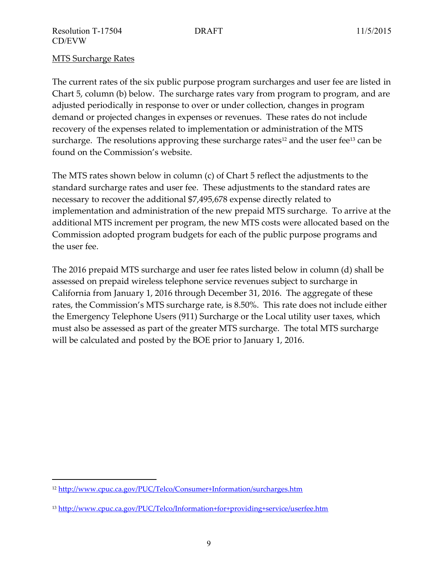# MTS Surcharge Rates

 $\overline{a}$ 

The current rates of the six public purpose program surcharges and user fee are listed in Chart 5, column (b) below. The surcharge rates vary from program to program, and are adjusted periodically in response to over or under collection, changes in program demand or projected changes in expenses or revenues. These rates do not include recovery of the expenses related to implementation or administration of the MTS surcharge. The resolutions approving these surcharge rates<sup>12</sup> and the user fee<sup>13</sup> can be found on the Commission's website.

The MTS rates shown below in column (c) of Chart 5 reflect the adjustments to the standard surcharge rates and user fee. These adjustments to the standard rates are necessary to recover the additional \$7,495,678 expense directly related to implementation and administration of the new prepaid MTS surcharge. To arrive at the additional MTS increment per program, the new MTS costs were allocated based on the Commission adopted program budgets for each of the public purpose programs and the user fee.

The 2016 prepaid MTS surcharge and user fee rates listed below in column (d) shall be assessed on prepaid wireless telephone service revenues subject to surcharge in California from January 1, 2016 through December 31, 2016. The aggregate of these rates, the Commission's MTS surcharge rate, is 8.50%. This rate does not include either the Emergency Telephone Users (911) Surcharge or the Local utility user taxes, which must also be assessed as part of the greater MTS surcharge. The total MTS surcharge will be calculated and posted by the BOE prior to January 1, 2016.

<sup>12</sup> <http://www.cpuc.ca.gov/PUC/Telco/Consumer+Information/surcharges.htm>

<sup>13</sup> <http://www.cpuc.ca.gov/PUC/Telco/Information+for+providing+service/userfee.htm>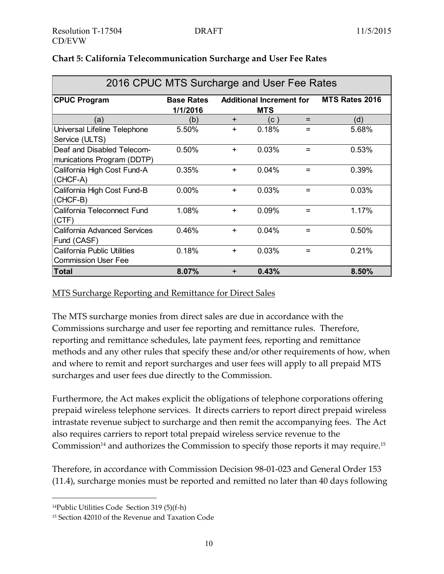| 2016 CPUC MTS Surcharge and User Fee Rates                       |                |           |       |     |       |  |
|------------------------------------------------------------------|----------------|-----------|-------|-----|-------|--|
| <b>CPUC Program</b>                                              | MTS Rates 2016 |           |       |     |       |  |
| (a)                                                              | (b)            | $+$       | (C )  | $=$ | (d)   |  |
| Universal Lifeline Telephone<br>Service (ULTS)                   | 5.50%          | $\pm$     | 0.18% | $=$ | 5.68% |  |
| Deaf and Disabled Telecom-<br>munications Program (DDTP)         | 0.50%          | $\ddot{}$ | 0.03% | $=$ | 0.53% |  |
| California High Cost Fund-A<br>(CHCF-A)                          | 0.35%          | $\ddot{}$ | 0.04% | $=$ | 0.39% |  |
| California High Cost Fund-B<br>(CHCF-B)                          | $0.00\%$       | $+$       | 0.03% | $=$ | 0.03% |  |
| California Teleconnect Fund<br>(CTF)                             | 1.08%          | $+$       | 0.09% | $=$ | 1.17% |  |
| <b>California Advanced Services</b><br>Fund (CASF)               | 0.46%          | $\ddot{}$ | 0.04% | $=$ | 0.50% |  |
| <b>California Public Utilities</b><br><b>Commission User Fee</b> | 0.18%          | $+$       | 0.03% | $=$ | 0.21% |  |
| Total                                                            | 8.07%          | $+$       | 0.43% |     | 8.50% |  |

# **Chart 5: California Telecommunication Surcharge and User Fee Rates**

#### MTS Surcharge Reporting and Remittance for Direct Sales

The MTS surcharge monies from direct sales are due in accordance with the Commissions surcharge and user fee reporting and remittance rules. Therefore, reporting and remittance schedules, late payment fees, reporting and remittance methods and any other rules that specify these and/or other requirements of how, when and where to remit and report surcharges and user fees will apply to all prepaid MTS surcharges and user fees due directly to the Commission.

Furthermore, the Act makes explicit the obligations of telephone corporations offering prepaid wireless telephone services. It directs carriers to report direct prepaid wireless intrastate revenue subject to surcharge and then remit the accompanying fees. The Act also requires carriers to report total prepaid wireless service revenue to the Commission $^{14}$  and authorizes the Commission to specify those reports it may require. $^{15}$ 

Therefore, in accordance with Commission Decision 98-01‐023 and General Order 153 (11.4), surcharge monies must be reported and remitted no later than 40 days following

<sup>14</sup>Public Utilities Code Section 319 (5)(f-h)

<sup>15</sup> Section 42010 of the Revenue and Taxation Code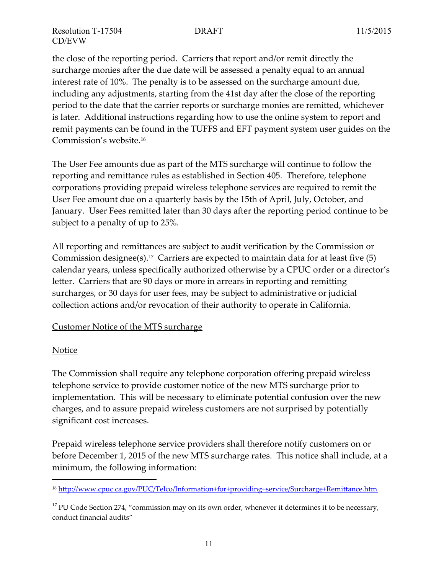the close of the reporting period. Carriers that report and/or remit directly the surcharge monies after the due date will be assessed a penalty equal to an annual interest rate of 10%. The penalty is to be assessed on the surcharge amount due, including any adjustments, starting from the 41st day after the close of the reporting period to the date that the carrier reports or surcharge monies are remitted, whichever is later. Additional instructions regarding how to use the online system to report and remit payments can be found in the TUFFS and EFT payment system user guides on the Commission's website.<sup>16</sup>

The User Fee amounts due as part of the MTS surcharge will continue to follow the reporting and remittance rules as established in Section 405. Therefore, telephone corporations providing prepaid wireless telephone services are required to remit the User Fee amount due on a quarterly basis by the 15th of April, July, October, and January. User Fees remitted later than 30 days after the reporting period continue to be subject to a penalty of up to 25%.

All reporting and remittances are subject to audit verification by the Commission or Commission designee(s). <sup>17</sup> Carriers are expected to maintain data for at least five (5) calendar years, unless specifically authorized otherwise by a CPUC order or a director's letter. Carriers that are 90 days or more in arrears in reporting and remitting surcharges, or 30 days for user fees, may be subject to administrative or judicial collection actions and/or revocation of their authority to operate in California.

#### Customer Notice of the MTS surcharge

#### **Notice**

 $\overline{a}$ 

The Commission shall require any telephone corporation offering prepaid wireless telephone service to provide customer notice of the new MTS surcharge prior to implementation. This will be necessary to eliminate potential confusion over the new charges, and to assure prepaid wireless customers are not surprised by potentially significant cost increases.

Prepaid wireless telephone service providers shall therefore notify customers on or before December 1, 2015 of the new MTS surcharge rates. This notice shall include, at a minimum, the following information:

<sup>16</sup> <http://www.cpuc.ca.gov/PUC/Telco/Information+for+providing+service/Surcharge+Remittance.htm>

 $17$  PU Code Section 274, "commission may on its own order, whenever it determines it to be necessary, conduct financial audits"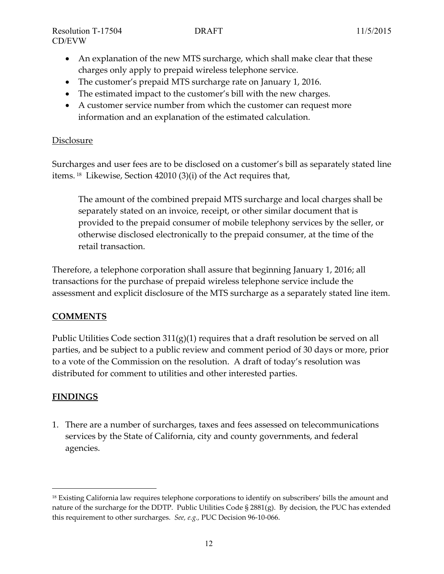- An explanation of the new MTS surcharge, which shall make clear that these charges only apply to prepaid wireless telephone service.
- The customer's prepaid MTS surcharge rate on January 1, 2016.
- The estimated impact to the customer's bill with the new charges.
- A customer service number from which the customer can request more information and an explanation of the estimated calculation.

# Disclosure

Surcharges and user fees are to be disclosed on a customer's bill as separately stated line items. 18 Likewise, Section 42010 (3)(i) of the Act requires that,

The amount of the combined prepaid MTS surcharge and local charges shall be separately stated on an invoice, receipt, or other similar document that is provided to the prepaid consumer of mobile telephony services by the seller, or otherwise disclosed electronically to the prepaid consumer, at the time of the retail transaction.

Therefore, a telephone corporation shall assure that beginning January 1, 2016; all transactions for the purchase of prepaid wireless telephone service include the assessment and explicit disclosure of the MTS surcharge as a separately stated line item.

# **COMMENTS**

Public Utilities Code section 311(g)(1) requires that a draft resolution be served on all parties, and be subject to a public review and comment period of 30 days or more, prior to a vote of the Commission on the resolution. A draft of today's resolution was distributed for comment to utilities and other interested parties.

# **FINDINGS**

 $\overline{a}$ 

1. There are a number of surcharges, taxes and fees assessed on telecommunications services by the State of California, city and county governments, and federal agencies.

<sup>&</sup>lt;sup>18</sup> Existing California law requires telephone corporations to identify on subscribers' bills the amount and nature of the surcharge for the DDTP. Public Utilities Code  $\S 2881(g)$ . By decision, the PUC has extended this requirement to other surcharges. *See, e.g.,* PUC Decision 96-10-066.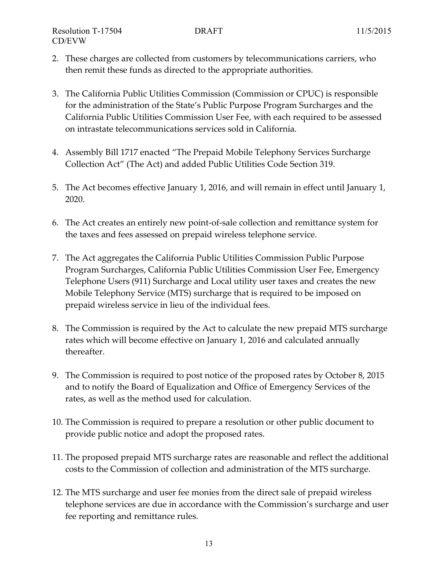- 2. These charges are collected from customers by telecommunications carriers, who then remit these funds as directed to the appropriate authorities.
- 3. The California Public Utilities Commission (Commission or CPUC) is responsible for the administration of the State's Public Purpose Program Surcharges and the California Public Utilities Commission User Fee, with each required to be assessed on intrastate telecommunications services sold in California.
- 4. Assembly Bill 1717 enacted "The Prepaid Mobile Telephony Services Surcharge Collection Act" (The Act) and added Public Utilities Code Section 319.
- 5. The Act becomes effective January 1, 2016, and will remain in effect until January 1, 2020.
- 6. The Act creates an entirely new point-of-sale collection and remittance system for the taxes and fees assessed on prepaid wireless telephone service.
- 7. The Act aggregates the California Public Utilities Commission Public Purpose Program Surcharges, California Public Utilities Commission User Fee, Emergency Telephone Users (911) Surcharge and Local utility user taxes and creates the new Mobile Telephony Service (MTS) surcharge that is required to be imposed on prepaid wireless service in lieu of the individual fees.
- 8. The Commission is required by the Act to calculate the new prepaid MTS surcharge rates which will become effective on January 1, 2016 and calculated annually thereafter.
- 9. The Commission is required to post notice of the proposed rates by October 8, 2015 and to notify the Board of Equalization and Office of Emergency Services of the rates, as well as the method used for calculation.
- 10. The Commission is required to prepare a resolution or other public document to provide public notice and adopt the proposed rates.
- 11. The proposed prepaid MTS surcharge rates are reasonable and reflect the additional costs to the Commission of collection and administration of the MTS surcharge.
- 12. The MTS surcharge and user fee monies from the direct sale of prepaid wireless telephone services are due in accordance with the Commission's surcharge and user fee reporting and remittance rules.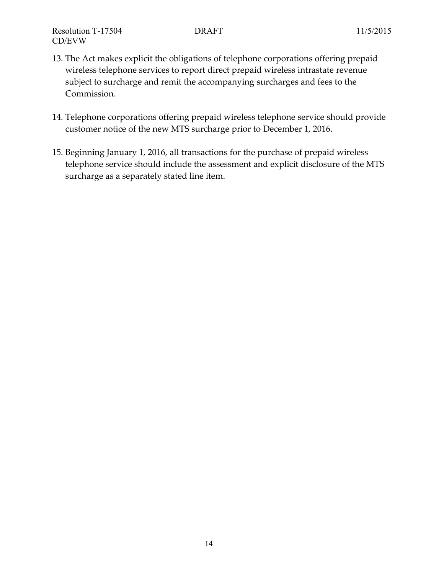- 13. The Act makes explicit the obligations of telephone corporations offering prepaid wireless telephone services to report direct prepaid wireless intrastate revenue subject to surcharge and remit the accompanying surcharges and fees to the Commission.
- 14. Telephone corporations offering prepaid wireless telephone service should provide customer notice of the new MTS surcharge prior to December 1, 2016.
- 15. Beginning January 1, 2016, all transactions for the purchase of prepaid wireless telephone service should include the assessment and explicit disclosure of the MTS surcharge as a separately stated line item.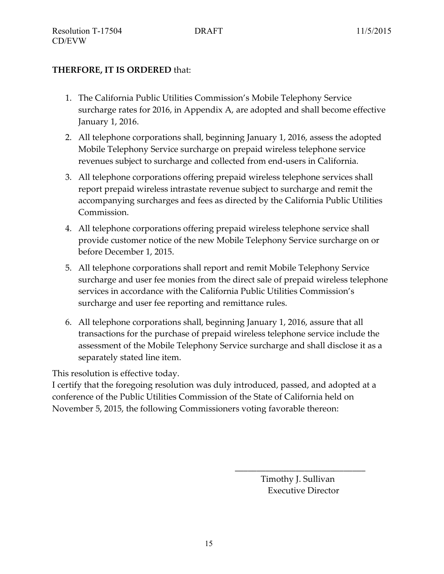# **THERFORE, IT IS ORDERED** that:

- 1. The California Public Utilities Commission's Mobile Telephony Service surcharge rates for 2016, in Appendix A, are adopted and shall become effective January 1, 2016.
- 2. All telephone corporations shall, beginning January 1, 2016, assess the adopted Mobile Telephony Service surcharge on prepaid wireless telephone service revenues subject to surcharge and collected from end-users in California.
- 3. All telephone corporations offering prepaid wireless telephone services shall report prepaid wireless intrastate revenue subject to surcharge and remit the accompanying surcharges and fees as directed by the California Public Utilities Commission.
- 4. All telephone corporations offering prepaid wireless telephone service shall provide customer notice of the new Mobile Telephony Service surcharge on or before December 1, 2015.
- 5. All telephone corporations shall report and remit Mobile Telephony Service surcharge and user fee monies from the direct sale of prepaid wireless telephone services in accordance with the California Public Utilities Commission's surcharge and user fee reporting and remittance rules.
- 6. All telephone corporations shall, beginning January 1, 2016, assure that all transactions for the purchase of prepaid wireless telephone service include the assessment of the Mobile Telephony Service surcharge and shall disclose it as a separately stated line item.

This resolution is effective today.

I certify that the foregoing resolution was duly introduced, passed, and adopted at a conference of the Public Utilities Commission of the State of California held on November 5, 2015, the following Commissioners voting favorable thereon:

> Timothy J. Sullivan Executive Director

\_\_\_\_\_\_\_\_\_\_\_\_\_\_\_\_\_\_\_\_\_\_\_\_\_\_\_\_\_\_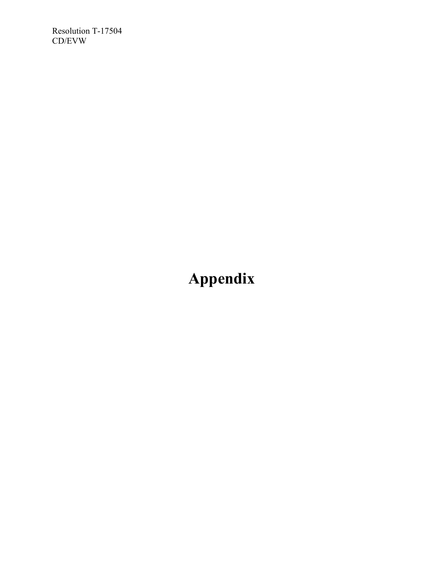Resolution T-17504 CD/EVW

# **Appendix**